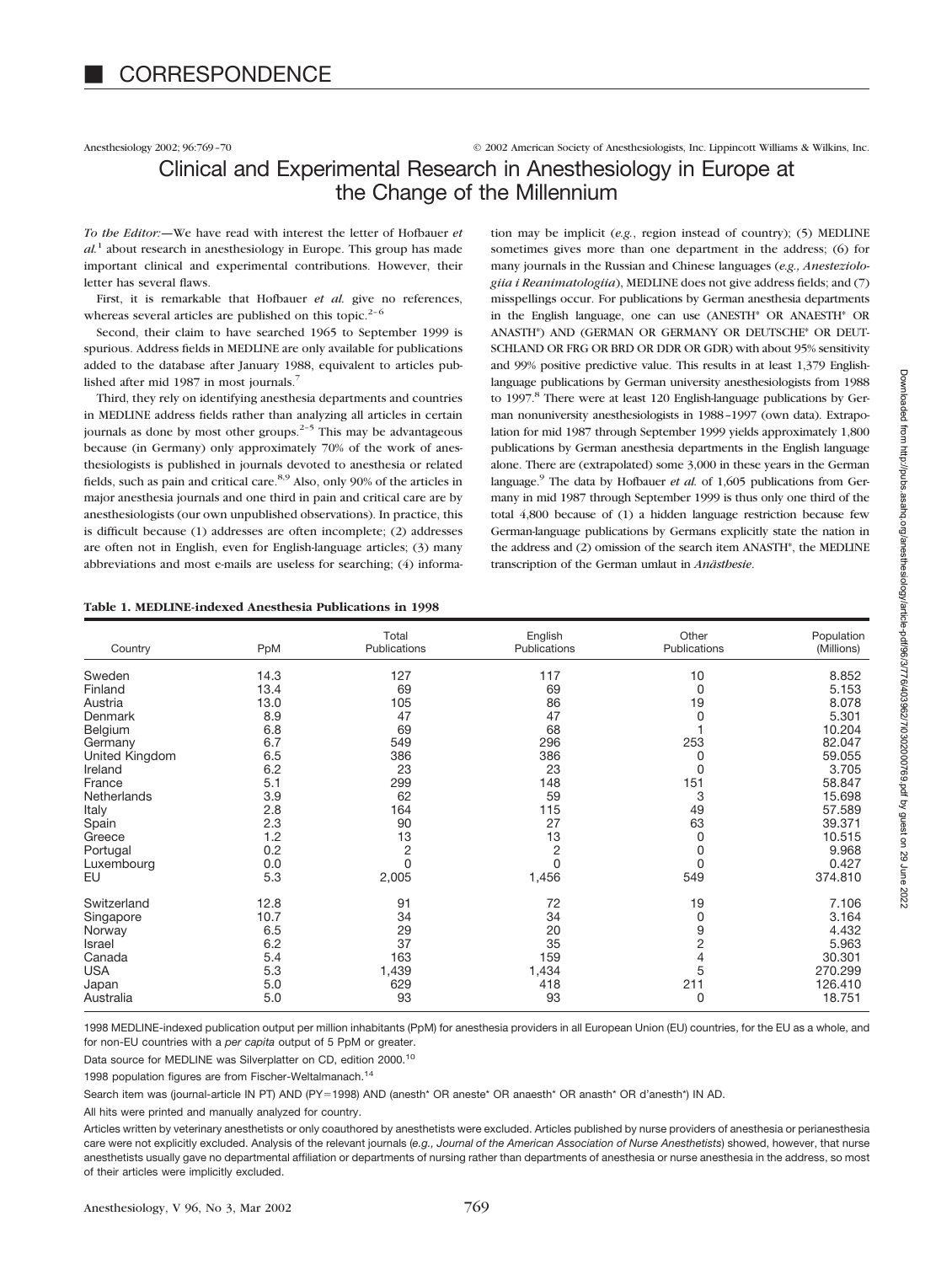Anesthesiology 2002; 96:769–70 © 2002 American Society of Anesthesiologists, Inc. Lippincott Williams & Wilkins, Inc.

# Clinical and Experimental Research in Anesthesiology in Europe at the Change of the Millennium

*To the Editor:—*We have read with interest the letter of Hofbauer *et*  $al<sup>1</sup>$  about research in anesthesiology in Europe. This group has made important clinical and experimental contributions. However, their letter has several flaws.

First, it is remarkable that Hofbauer *et al.* give no references, whereas several articles are published on this topic.<sup>2-6</sup>

Second, their claim to have searched 1965 to September 1999 is spurious. Address fields in MEDLINE are only available for publications added to the database after January 1988, equivalent to articles published after mid 1987 in most journals.<sup>7</sup>

Third, they rely on identifying anesthesia departments and countries in MEDLINE address fields rather than analyzing all articles in certain journals as done by most other groups.<sup>2-5</sup> This may be advantageous because (in Germany) only approximately 70% of the work of anesthesiologists is published in journals devoted to anesthesia or related fields, such as pain and critical care.<sup>8,9</sup> Also, only 90% of the articles in major anesthesia journals and one third in pain and critical care are by anesthesiologists (our own unpublished observations). In practice, this is difficult because (1) addresses are often incomplete; (2) addresses are often not in English, even for English-language articles; (3) many abbreviations and most e-mails are useless for searching; (4) informa-

tion may be implicit (*e.g.*, region instead of country); (5) MEDLINE sometimes gives more than one department in the address; (6) for many journals in the Russian and Chinese languages (*e.g., Anesteziologiia i Reanimatologiia*), MEDLINE does not give address fields; and (7) misspellings occur. For publications by German anesthesia departments in the English language, one can use (ANESTH\* OR ANAESTH\* OR ANASTH\*) AND (GERMAN OR GERMANY OR DEUTSCHE\* OR DEUT-SCHLAND OR FRG OR BRD OR DDR OR GDR) with about 95% sensitivity and 99% positive predictive value. This results in at least 1,379 Englishlanguage publications by German university anesthesiologists from 1988 to 1997.<sup>8</sup> There were at least 120 English-language publications by German nonuniversity anesthesiologists in 1988–1997 (own data). Extrapolation for mid 1987 through September 1999 yields approximately 1,800 publications by German anesthesia departments in the English language alone. There are (extrapolated) some 3,000 in these years in the German language.9 The data by Hofbauer *et al.* of 1,605 publications from Germany in mid 1987 through September 1999 is thus only one third of the total 4,800 because of (1) a hidden language restriction because few German-language publications by Germans explicitly state the nation in the address and (2) omission of the search item ANASTH\*, the MEDLINE transcription of the German umlaut in *Anästhesie*.

### **Table 1. MEDLINE-indexed Anesthesia Publications in 1998**

| Country        | PpM  | Total<br>Publications | English<br>Publications | Other<br>Publications | Population<br>(Millions) |
|----------------|------|-----------------------|-------------------------|-----------------------|--------------------------|
| Sweden         | 14.3 | 127                   | 117                     | 10                    | 8.852                    |
| Finland        | 13.4 | 69                    | 69                      | 0                     | 5.153                    |
| Austria        | 13.0 | 105                   | 86                      | 19                    | 8.078                    |
| Denmark        | 8.9  | 47                    | 47                      | 0                     | 5.301                    |
| Belgium        | 6.8  | 69                    | 68                      |                       | 10.204                   |
| Germany        | 6.7  | 549                   | 296                     | 253                   | 82.047                   |
| United Kingdom | 6.5  | 386                   | 386                     | 0                     | 59.055                   |
| Ireland        | 6.2  | 23                    | 23                      | 0                     | 3.705                    |
| France         | 5.1  | 299                   | 148                     | 151                   | 58.847                   |
| Netherlands    | 3.9  | 62                    | 59                      | 3                     | 15.698                   |
| Italy          | 2.8  | 164                   | 115                     | 49                    | 57.589                   |
| Spain          | 2.3  | 90                    | 27                      | 63                    | 39.371                   |
| Greece         | 1.2  | 13                    | 13                      | 0                     | 10.515                   |
| Portugal       | 0.2  | $\overline{c}$        | $\overline{c}$          | 0                     | 9.968                    |
| Luxembourg     | 0.0  | $\Omega$              | 0                       | 0                     | 0.427                    |
| EU             | 5.3  | 2,005                 | 1,456                   | 549                   | 374.810                  |
| Switzerland    | 12.8 | 91                    | 72                      | 19                    | 7.106                    |
| Singapore      | 10.7 | 34                    | 34                      | 0                     | 3.164                    |
| Norway         | 6.5  | 29                    | 20                      | 9                     | 4.432                    |
| Israel         | 6.2  | 37                    | 35                      | $\overline{c}$        | 5.963                    |
| Canada         | 5.4  | 163                   | 159                     | 4                     | 30.301                   |
| <b>USA</b>     | 5.3  | 1,439                 | 1,434                   | 5                     | 270.299                  |
| Japan          | 5.0  | 629                   | 418                     | 211                   | 126.410                  |
| Australia      | 5.0  | 93                    | 93                      | 0                     | 18.751                   |

1998 MEDLINE-indexed publication output per million inhabitants (PpM) for anesthesia providers in all European Union (EU) countries, for the EU as a whole, and for non-EU countries with a *per capita* output of 5 PpM or greater.

Data source for MEDLINE was Silverplatter on CD, edition 2000.<sup>10</sup>

1998 population figures are from Fischer-Weltalmanach.<sup>14</sup>

Search item was (journal-article IN PT) AND (PY=1998) AND (anesth\* OR aneste\* OR anaesth\* OR anasth\* OR d'anesth\*) IN AD.

All hits were printed and manually analyzed for country.

Articles written by veterinary anesthetists or only coauthored by anesthetists were excluded. Articles published by nurse providers of anesthesia or perianesthesia care were not explicitly excluded. Analysis of the relevant journals (*e.g., Journal of the American Association of Nurse Anesthetists*) showed, however, that nurse anesthetists usually gave no departmental affiliation or departments of nursing rather than departments of anesthesia or nurse anesthesia in the address, so most of their articles were implicitly excluded.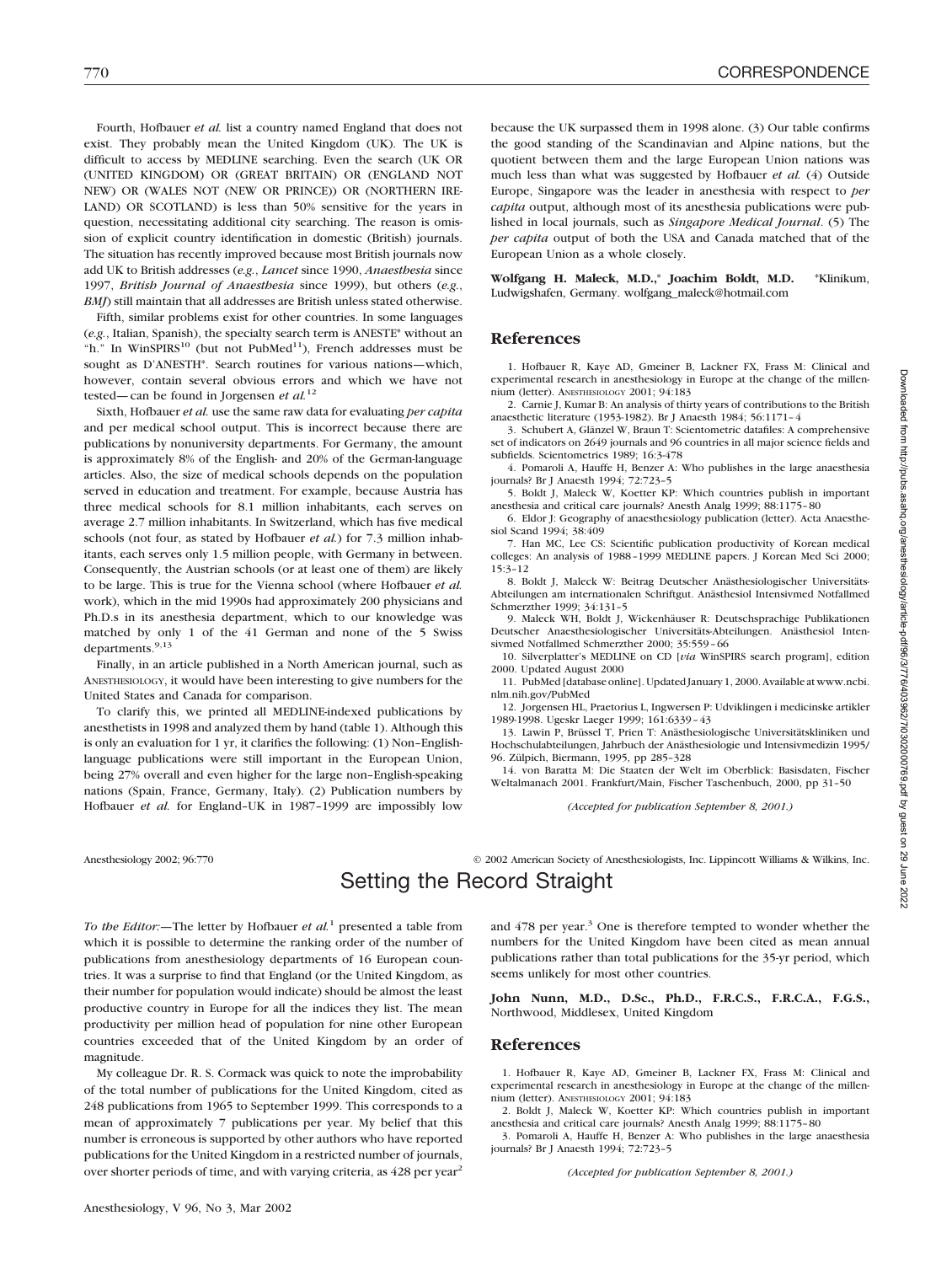Fourth, Hofbauer *et al.* list a country named England that does not exist. They probably mean the United Kingdom (UK). The UK is difficult to access by MEDLINE searching. Even the search (UK OR (UNITED KINGDOM) OR (GREAT BRITAIN) OR (ENGLAND NOT NEW) OR (WALES NOT (NEW OR PRINCE)) OR (NORTHERN IRE-LAND) OR SCOTLAND) is less than 50% sensitive for the years in question, necessitating additional city searching. The reason is omission of explicit country identification in domestic (British) journals. The situation has recently improved because most British journals now add UK to British addresses (*e.g.*, *Lancet* since 1990, *Anaesthesia* since 1997, *British Journal of Anaesthesia* since 1999), but others (*e.g.*, *BMJ*) still maintain that all addresses are British unless stated otherwise.

Fifth, similar problems exist for other countries. In some languages (*e.g.*, Italian, Spanish), the specialty search term is ANESTE\* without an "h." In WinSPIRS<sup>10</sup> (but not PubMed<sup>11</sup>), French addresses must be sought as D'ANESTH\*. Search routines for various nations—which, however, contain several obvious errors and which we have not tested—can be found in Jorgensen *et al.*<sup>12</sup>

Sixth, Hofbauer *et al.* use the same raw data for evaluating *per capita* and per medical school output. This is incorrect because there are publications by nonuniversity departments. For Germany, the amount is approximately 8% of the English- and 20% of the German-language articles. Also, the size of medical schools depends on the population served in education and treatment. For example, because Austria has three medical schools for 8.1 million inhabitants, each serves on average 2.7 million inhabitants. In Switzerland, which has five medical schools (not four, as stated by Hofbauer *et al.*) for 7.3 million inhabitants, each serves only 1.5 million people, with Germany in between. Consequently, the Austrian schools (or at least one of them) are likely to be large. This is true for the Vienna school (where Hofbauer *et al.* work), which in the mid 1990s had approximately 200 physicians and Ph.D.s in its anesthesia department, which to our knowledge was matched by only 1 of the 41 German and none of the 5 Swiss departments.<sup>9,13</sup>

Finally, in an article published in a North American journal, such as ANESTHESIOLOGY, it would have been interesting to give numbers for the United States and Canada for comparison.

To clarify this, we printed all MEDLINE-indexed publications by anesthetists in 1998 and analyzed them by hand (table 1). Although this is only an evaluation for 1 yr, it clarifies the following: (1) Non–Englishlanguage publications were still important in the European Union, being 27% overall and even higher for the large non–English-speaking nations (Spain, France, Germany, Italy). (2) Publication numbers by Hofbauer *et al.* for England–UK in 1987–1999 are impossibly low

because the UK surpassed them in 1998 alone. (3) Our table confirms the good standing of the Scandinavian and Alpine nations, but the quotient between them and the large European Union nations was much less than what was suggested by Hofbauer *et al.* (4) Outside Europe, Singapore was the leader in anesthesia with respect to *per capita* output, although most of its anesthesia publications were published in local journals, such as *Singapore Medical Journal*. (5) The *per capita* output of both the USA and Canada matched that of the European Union as a whole closely.

**Wolfgang H. Maleck, M.D.,**\* **Joachim Boldt, M.D.** \*Klinikum, Ludwigshafen, Germany. wolfgang\_maleck@hotmail.com

### **References**

1. Hofbauer R, Kaye AD, Gmeiner B, Lackner FX, Frass M: Clinical and experimental research in anesthesiology in Europe at the change of the millennium (letter). ANESTHESIOLOGY 2001; 94:183

2. Carnie J, Kumar B: An analysis of thirty years of contributions to the British anaesthetic literature (1953-1982). Br J Anaesth 1984; 56:1171–4

3. Schubert A, Glänzel W, Braun T: Scientometric datafiles: A comprehensive set of indicators on 2649 journals and 96 countries in all major science fields and subfields. Scientometrics 1989; 16:3-478

4. Pomaroli A, Hauffe H, Benzer A: Who publishes in the large anaesthesia journals? Br J Anaesth 1994; 72:723–5

5. Boldt J, Maleck W, Koetter KP: Which countries publish in important anesthesia and critical care journals? Anesth Analg 1999; 88:1175–80

6. Eldor J: Geography of anaesthesiology publication (letter). Acta Anaesthesiol Scand 1994; 38:409

7. Han MC, Lee CS: Scientific publication productivity of Korean medical colleges: An analysis of 1988–1999 MEDLINE papers. J Korean Med Sci 2000; 15:3–12

8. Boldt J, Maleck W: Beitrag Deutscher Anästhesiologischer Universitäts-Abteilungen am internationalen Schriftgut. Anästhesiol Intensivmed Notfallmed Schmerzther 1999; 34:131–5

9. Maleck WH, Boldt J, Wickenhäuser R: Deutschsprachige Publikationen Deutscher Anaesthesiologischer Universitäts-Abteilungen. Anästhesiol Intensivmed Notfallmed Schmerzther 2000; 35:559–66

10. Silverplatter's MEDLINE on CD [*via* WinSPIRS search program], edition 2000. Updated August 2000

11. PubMed [database online]. Updated January 1, 2000. Available at www.ncbi. nlm.nih.gov/PubMed

12. Jorgensen HL, Praetorius L, Ingwersen P: Udviklingen i medicinske artikler 1989-1998. Ugeskr Laeger 1999; 161:6339–43

13. Lawin P, Brüssel T, Prien T: Anästhesiologische Universitätskliniken und Hochschulabteilungen, Jahrbuch der Anästhesiologie und Intensivmedizin 1995/ 96. Zülpich, Biermann, 1995, pp 285–328

14. von Baratta M: Die Staaten der Welt im Oberblick: Basisdaten, Fischer Weltalmanach 2001. Frankfurt/Main, Fischer Taschenbuch, 2000, pp 31–50

*(Accepted for publication September 8, 2001.)*

Anesthesiology 2002; 96:770 © 2002 American Society of Anesthesiologists, Inc. Lippincott Williams & Wilkins, Inc. Setting the Record Straight

*To the Editor:—*The letter by Hofbauer *et al.*<sup>1</sup> presented a table from which it is possible to determine the ranking order of the number of publications from anesthesiology departments of 16 European countries. It was a surprise to find that England (or the United Kingdom, as their number for population would indicate) should be almost the least productive country in Europe for all the indices they list. The mean productivity per million head of population for nine other European countries exceeded that of the United Kingdom by an order of magnitude.

My colleague Dr. R. S. Cormack was quick to note the improbability of the total number of publications for the United Kingdom, cited as 248 publications from 1965 to September 1999. This corresponds to a mean of approximately 7 publications per year. My belief that this number is erroneous is supported by other authors who have reported publications for the United Kingdom in a restricted number of journals, over shorter periods of time, and with varying criteria, as 428 per year<sup>2</sup>

and 478 per year.<sup>3</sup> One is therefore tempted to wonder whether the numbers for the United Kingdom have been cited as mean annual publications rather than total publications for the 35-yr period, which seems unlikely for most other countries.

**John Nunn, M.D., D.Sc., Ph.D., F.R.C.S., F.R.C.A., F.G.S.,** Northwood, Middlesex, United Kingdom

### **References**

1. Hofbauer R, Kaye AD, Gmeiner B, Lackner FX, Frass M: Clinical and experimental research in anesthesiology in Europe at the change of the millennium (letter). ANESTHESIOLOGY 2001; 94:183

2. Boldt J, Maleck W, Koetter KP: Which countries publish in important anesthesia and critical care journals? Anesth Analg 1999; 88:1175–80

3. Pomaroli A, Hauffe H, Benzer A: Who publishes in the large anaesthesia journals? Br J Anaesth 1994; 72:723–5

*(Accepted for publication September 8, 2001.)*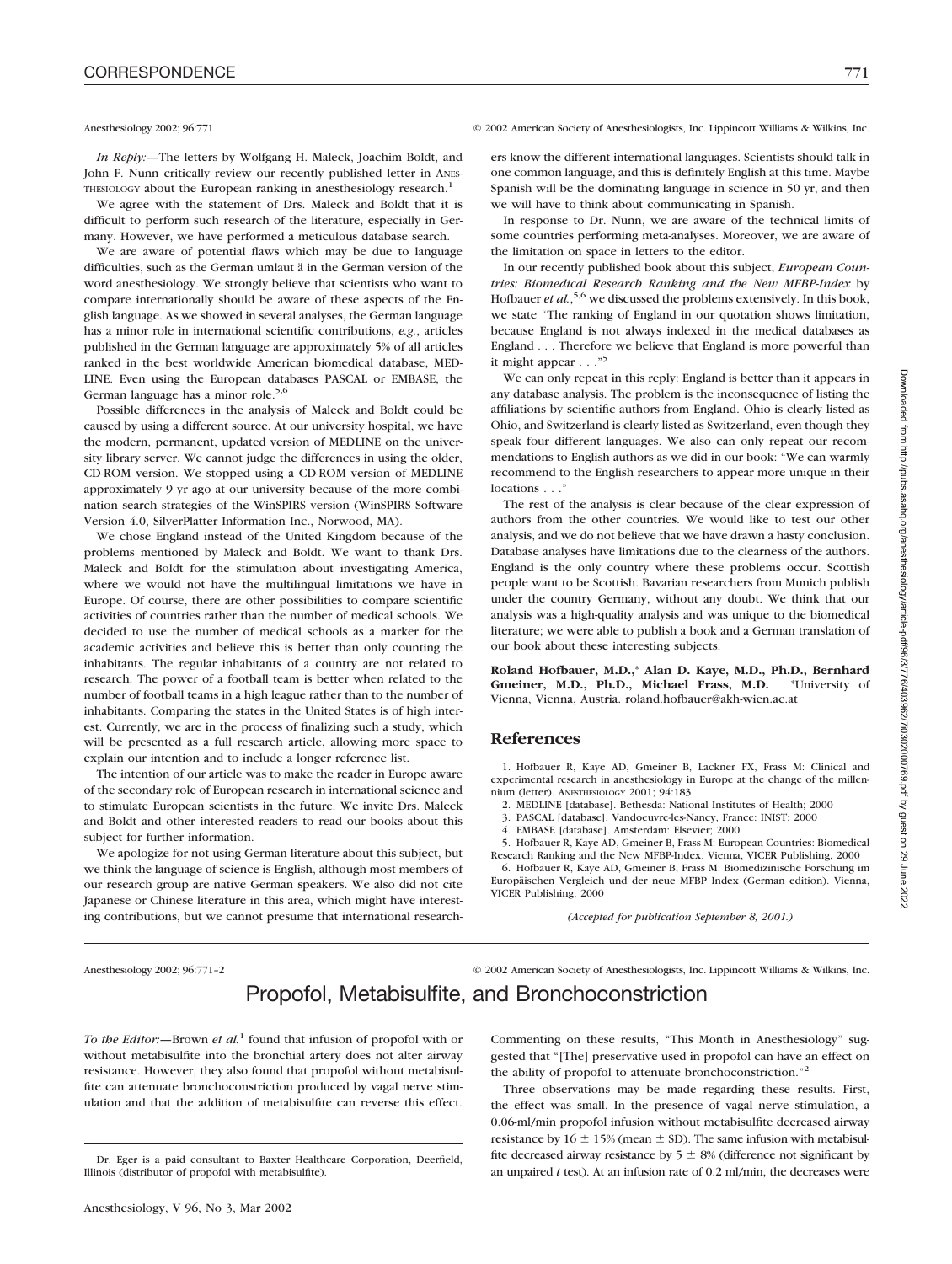*In Reply:—*The letters by Wolfgang H. Maleck, Joachim Boldt, and John F. Nunn critically review our recently published letter in ANES-THESIOLOGY about the European ranking in anesthesiology research.<sup>1</sup>

We agree with the statement of Drs. Maleck and Boldt that it is difficult to perform such research of the literature, especially in Germany. However, we have performed a meticulous database search.

We are aware of potential flaws which may be due to language difficulties, such as the German umlaut ä in the German version of the word anesthesiology. We strongly believe that scientists who want to compare internationally should be aware of these aspects of the English language. As we showed in several analyses, the German language has a minor role in international scientific contributions, *e.g.*, articles published in the German language are approximately 5% of all articles ranked in the best worldwide American biomedical database, MED-LINE. Even using the European databases PASCAL or EMBASE, the German language has a minor role.<sup>5,6</sup>

Possible differences in the analysis of Maleck and Boldt could be caused by using a different source. At our university hospital, we have the modern, permanent, updated version of MEDLINE on the university library server. We cannot judge the differences in using the older, CD-ROM version. We stopped using a CD-ROM version of MEDLINE approximately 9 yr ago at our university because of the more combination search strategies of the WinSPIRS version (WinSPIRS Software Version 4.0, SilverPlatter Information Inc., Norwood, MA).

We chose England instead of the United Kingdom because of the problems mentioned by Maleck and Boldt. We want to thank Drs. Maleck and Boldt for the stimulation about investigating America, where we would not have the multilingual limitations we have in Europe. Of course, there are other possibilities to compare scientific activities of countries rather than the number of medical schools. We decided to use the number of medical schools as a marker for the academic activities and believe this is better than only counting the inhabitants. The regular inhabitants of a country are not related to research. The power of a football team is better when related to the number of football teams in a high league rather than to the number of inhabitants. Comparing the states in the United States is of high interest. Currently, we are in the process of finalizing such a study, which will be presented as a full research article, allowing more space to explain our intention and to include a longer reference list.

The intention of our article was to make the reader in Europe aware of the secondary role of European research in international science and to stimulate European scientists in the future. We invite Drs. Maleck and Boldt and other interested readers to read our books about this subject for further information.

We apologize for not using German literature about this subject, but we think the language of science is English, although most members of our research group are native German speakers. We also did not cite Japanese or Chinese literature in this area, which might have interesting contributions, but we cannot presume that international research-

### Anesthesiology 2002; 96:771 © 2002 American Society of Anesthesiologists, Inc. Lippincott Williams & Wilkins, Inc.

ers know the different international languages. Scientists should talk in one common language, and this is definitely English at this time. Maybe Spanish will be the dominating language in science in 50 yr, and then we will have to think about communicating in Spanish.

In response to Dr. Nunn, we are aware of the technical limits of some countries performing meta-analyses. Moreover, we are aware of the limitation on space in letters to the editor.

In our recently published book about this subject, *European Countries: Biomedical Research Ranking and the New MFBP-Index* by Hofbauer *et al.*,<sup>5,6</sup> we discussed the problems extensively. In this book, we state "The ranking of England in our quotation shows limitation, because England is not always indexed in the medical databases as England... Therefore we believe that England is more powerful than it might appear..."<sup>5</sup>

We can only repeat in this reply: England is better than it appears in any database analysis. The problem is the inconsequence of listing the affiliations by scientific authors from England. Ohio is clearly listed as Ohio, and Switzerland is clearly listed as Switzerland, even though they speak four different languages. We also can only repeat our recommendations to English authors as we did in our book: "We can warmly recommend to the English researchers to appear more unique in their locations . . .

The rest of the analysis is clear because of the clear expression of authors from the other countries. We would like to test our other analysis, and we do not believe that we have drawn a hasty conclusion. Database analyses have limitations due to the clearness of the authors. England is the only country where these problems occur. Scottish people want to be Scottish. Bavarian researchers from Munich publish under the country Germany, without any doubt. We think that our analysis was a high-quality analysis and was unique to the biomedical literature; we were able to publish a book and a German translation of our book about these interesting subjects.

**Roland Hofbauer, M.D.,**\* **Alan D. Kaye, M.D., Ph.D., Bernhard Gmeiner, M.D., Ph.D., Michael Frass, M.D.** \*University of Vienna, Vienna, Austria. roland.hofbauer@akh-wien.ac.at

### **References**

1. Hofbauer R, Kaye AD, Gmeiner B, Lackner FX, Frass M: Clinical and experimental research in anesthesiology in Europe at the change of the millennium (letter). ANESTHESIOLOGY 2001: 94:183

2. MEDLINE [database]. Bethesda: National Institutes of Health; 2000

3. PASCAL [database]. Vandoeuvre-les-Nancy, France: INIST; 2000

4. EMBASE [database]. Amsterdam: Elsevier; 2000

5. Hofbauer R, Kaye AD, Gmeiner B, Frass M: European Countries: Biomedical

Research Ranking and the New MFBP-Index. Vienna, VICER Publishing, 2000 6. Hofbauer R, Kaye AD, Gmeiner B, Frass M: Biomedizinische Forschung im Europäischen Vergleich und der neue MFBP Index (German edition). Vienna, VICER Publishing, 2000

*(Accepted for publication September 8, 2001.)*

Anesthesiology 2002; 96:771–2 © 2002 American Society of Anesthesiologists, Inc. Lippincott Williams & Wilkins, Inc.

# Propofol, Metabisulfite, and Bronchoconstriction

*To the Editor:—*Brown *et al.*<sup>1</sup> found that infusion of propofol with or without metabisulfite into the bronchial artery does not alter airway resistance. However, they also found that propofol without metabisulfite can attenuate bronchoconstriction produced by vagal nerve stimulation and that the addition of metabisulfite can reverse this effect.

Commenting on these results, "This Month in Anesthesiology" suggested that "[The] preservative used in propofol can have an effect on the ability of propofol to attenuate bronchoconstriction."<sup>2</sup>

Three observations may be made regarding these results. First, the effect was small. In the presence of vagal nerve stimulation, a 0.06-ml/min propofol infusion without metabisulfite decreased airway resistance by  $16 \pm 15\%$  (mean  $\pm$  SD). The same infusion with metabisulfite decreased airway resistance by  $5 \pm 8\%$  (difference not significant by an unpaired *t* test). At an infusion rate of 0.2 ml/min, the decreases were

Dr. Eger is a paid consultant to Baxter Healthcare Corporation, Deerfield, Illinois (distributor of propofol with metabisulfite).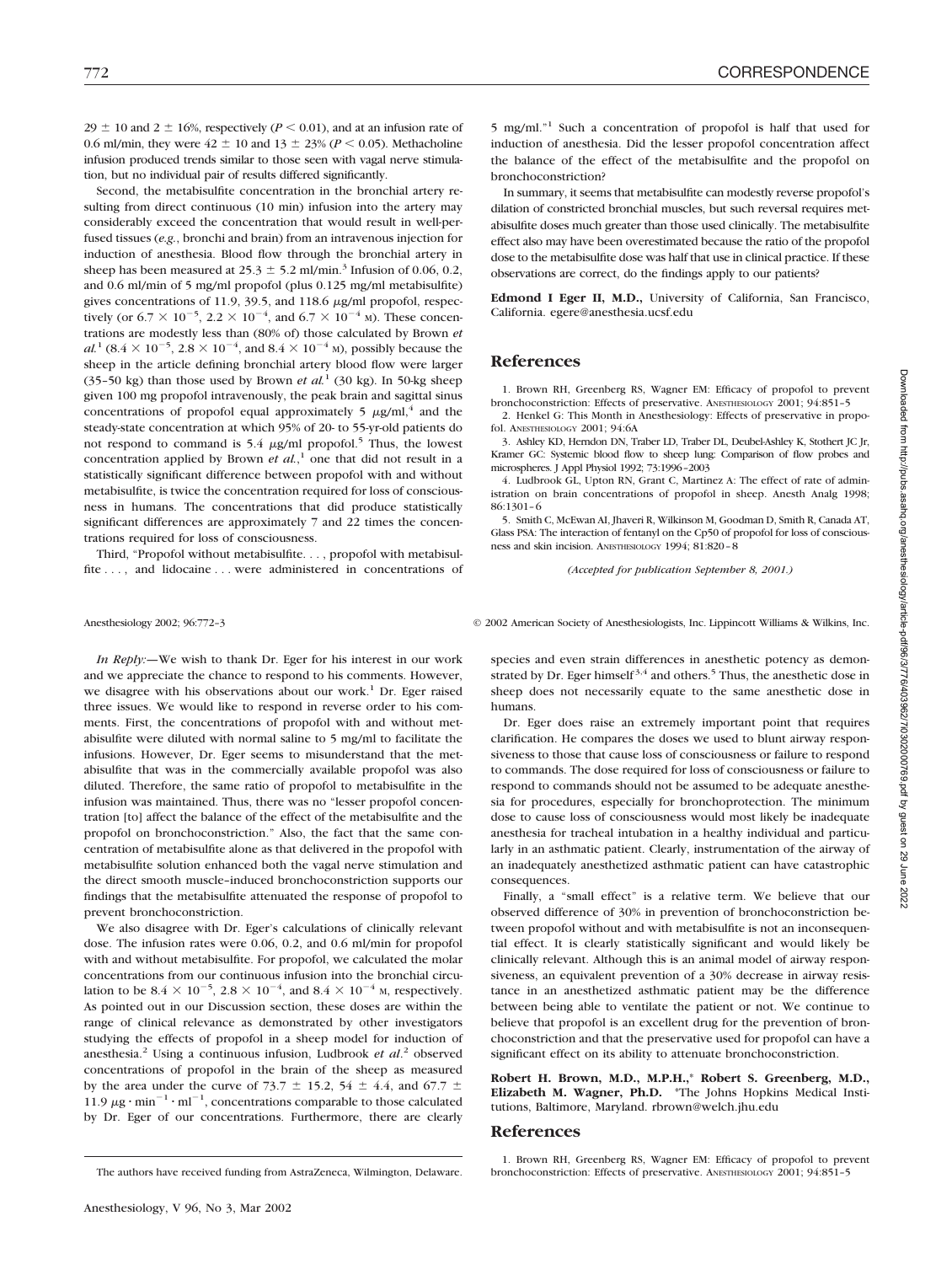$29 \pm 10$  and  $2 \pm 16$ %, respectively ( $P \le 0.01$ ), and at an infusion rate of 0.6 ml/min, they were  $42 \pm 10$  and  $13 \pm 23\%$  ( $P < 0.05$ ). Methacholine infusion produced trends similar to those seen with vagal nerve stimulation, but no individual pair of results differed significantly.

Second, the metabisulfite concentration in the bronchial artery resulting from direct continuous (10 min) infusion into the artery may considerably exceed the concentration that would result in well-perfused tissues (*e.g.*, bronchi and brain) from an intravenous injection for induction of anesthesia. Blood flow through the bronchial artery in sheep has been measured at  $25.3 \pm 5.2$  ml/min.<sup>3</sup> Infusion of 0.06, 0.2, and 0.6 ml/min of 5 mg/ml propofol (plus 0.125 mg/ml metabisulfite) gives concentrations of 11.9, 39.5, and 118.6  $\mu$ g/ml propofol, respectively (or 6.7  $\times$  10<sup>-5</sup>, 2.2  $\times$  10<sup>-4</sup>, and 6.7  $\times$  10<sup>-4</sup> m). These concentrations are modestly less than (80% of) those calculated by Brown *et*  $al.$ <sup>1</sup> (8.4  $\times$  10<sup>-5</sup>, 2.8  $\times$  10<sup>-4</sup>, and 8.4  $\times$  10<sup>-4</sup> M), possibly because the sheep in the article defining bronchial artery blood flow were larger (35–50 kg) than those used by Brown *et al.*<sup>1</sup> (30 kg). In 50-kg sheep given 100 mg propofol intravenously, the peak brain and sagittal sinus concentrations of propofol equal approximately 5  $\mu$ g/ml,<sup>4</sup> and the steady-state concentration at which 95% of 20- to 55-yr-old patients do not respond to command is 5.4  $\mu$ g/ml propofol.<sup>5</sup> Thus, the lowest concentration applied by Brown *et al.*, <sup>1</sup> one that did not result in a statistically significant difference between propofol with and without metabisulfite, is twice the concentration required for loss of consciousness in humans. The concentrations that did produce statistically significant differences are approximately 7 and 22 times the concentrations required for loss of consciousness.

Third, "Propofol without metabisulfite. . . , propofol with metabisulfite ..., and lidocaine... were administered in concentrations of

*In Reply:—*We wish to thank Dr. Eger for his interest in our work and we appreciate the chance to respond to his comments. However, we disagree with his observations about our work.<sup>1</sup> Dr. Eger raised three issues. We would like to respond in reverse order to his comments. First, the concentrations of propofol with and without metabisulfite were diluted with normal saline to 5 mg/ml to facilitate the infusions. However, Dr. Eger seems to misunderstand that the metabisulfite that was in the commercially available propofol was also diluted. Therefore, the same ratio of propofol to metabisulfite in the infusion was maintained. Thus, there was no "lesser propofol concentration [to] affect the balance of the effect of the metabisulfite and the propofol on bronchoconstriction." Also, the fact that the same concentration of metabisulfite alone as that delivered in the propofol with metabisulfite solution enhanced both the vagal nerve stimulation and the direct smooth muscle–induced bronchoconstriction supports our findings that the metabisulfite attenuated the response of propofol to prevent bronchoconstriction.

We also disagree with Dr. Eger's calculations of clinically relevant dose. The infusion rates were 0.06, 0.2, and 0.6 ml/min for propofol with and without metabisulfite. For propofol, we calculated the molar concentrations from our continuous infusion into the bronchial circulation to be 8.4  $\times$  10<sup>-5</sup>, 2.8  $\times$  10<sup>-4</sup>, and 8.4  $\times$  10<sup>-4</sup> <sub>M</sub>, respectively. As pointed out in our Discussion section, these doses are within the range of clinical relevance as demonstrated by other investigators studying the effects of propofol in a sheep model for induction of anesthesia.2 Using a continuous infusion, Ludbrook *et al*. <sup>2</sup> observed concentrations of propofol in the brain of the sheep as measured by the area under the curve of 73.7  $\pm$  15.2, 54  $\pm$  4.4, and 67.7  $\pm$ 11.9  $\mu$ g · min<sup>-1</sup> · ml<sup>-1</sup>, concentrations comparable to those calculated by Dr. Eger of our concentrations. Furthermore, there are clearly 5 mg/ml."<sup>1</sup> Such a concentration of propofol is half that used for induction of anesthesia. Did the lesser propofol concentration affect the balance of the effect of the metabisulfite and the propofol on bronchoconstriction?

In summary, it seems that metabisulfite can modestly reverse propofol's dilation of constricted bronchial muscles, but such reversal requires metabisulfite doses much greater than those used clinically. The metabisulfite effect also may have been overestimated because the ratio of the propofol dose to the metabisulfite dose was half that use in clinical practice. If these observations are correct, do the findings apply to our patients?

**Edmond I Eger II, M.D.,** University of California, San Francisco, California. egere@anesthesia.ucsf.edu

### **References**

1. Brown RH, Greenberg RS, Wagner EM: Efficacy of propofol to prevent bronchoconstriction: Effects of preservative. ANESTHESIOLOGY 2001; 94:851–5

2. Henkel G: This Month in Anesthesiology: Effects of preservative in propofol. ANESTHESIOLOGY 2001; 94:6A

3. Ashley KD, Herndon DN, Traber LD, Traber DL, Deubel-Ashley K, Stothert JC Jr, Kramer GC: Systemic blood flow to sheep lung: Comparison of flow probes and microspheres. J Appl Physiol 1992; 73:1996–2003

4. Ludbrook GL, Upton RN, Grant C, Martinez A: The effect of rate of administration on brain concentrations of propofol in sheep. Anesth Analg 1998; 86:1301–6

5. Smith C, McEwan AI, Jhaveri R, Wilkinson M, Goodman D, Smith R, Canada AT, Glass PSA: The interaction of fentanyl on the Cp50 of propofol for loss of consciousness and skin incision. ANESTHESIOLOGY 1994; 81:820–8

*(Accepted for publication September 8, 2001.)*

Anesthesiology 2002; 96:772–3 © 2002 American Society of Anesthesiologists, Inc. Lippincott Williams & Wilkins, Inc.

species and even strain differences in anesthetic potency as demonstrated by Dr. Eger himself<sup>3,4</sup> and others.<sup>5</sup> Thus, the anesthetic dose in sheep does not necessarily equate to the same anesthetic dose in humans.

Dr. Eger does raise an extremely important point that requires clarification. He compares the doses we used to blunt airway responsiveness to those that cause loss of consciousness or failure to respond to commands. The dose required for loss of consciousness or failure to respond to commands should not be assumed to be adequate anesthesia for procedures, especially for bronchoprotection. The minimum dose to cause loss of consciousness would most likely be inadequate anesthesia for tracheal intubation in a healthy individual and particularly in an asthmatic patient. Clearly, instrumentation of the airway of an inadequately anesthetized asthmatic patient can have catastrophic consequences.

Finally, a "small effect" is a relative term. We believe that our observed difference of 30% in prevention of bronchoconstriction between propofol without and with metabisulfite is not an inconsequential effect. It is clearly statistically significant and would likely be clinically relevant. Although this is an animal model of airway responsiveness, an equivalent prevention of a 30% decrease in airway resistance in an anesthetized asthmatic patient may be the difference between being able to ventilate the patient or not. We continue to believe that propofol is an excellent drug for the prevention of bronchoconstriction and that the preservative used for propofol can have a significant effect on its ability to attenuate bronchoconstriction.

**Robert H. Brown, M.D., M.P.H.,**\* **Robert S. Greenberg, M.D., Elizabeth M. Wagner, Ph.D.** \*The Johns Hopkins Medical Institutions, Baltimore, Maryland. rbrown@welch.jhu.edu

### **References**

The authors have received funding from AstraZeneca, Wilmington, Delaware.

<sup>1.</sup> Brown RH, Greenberg RS, Wagner EM: Efficacy of propofol to prevent bronchoconstriction: Effects of preservative. ANESTHESIOLOGY 2001; 94:851-5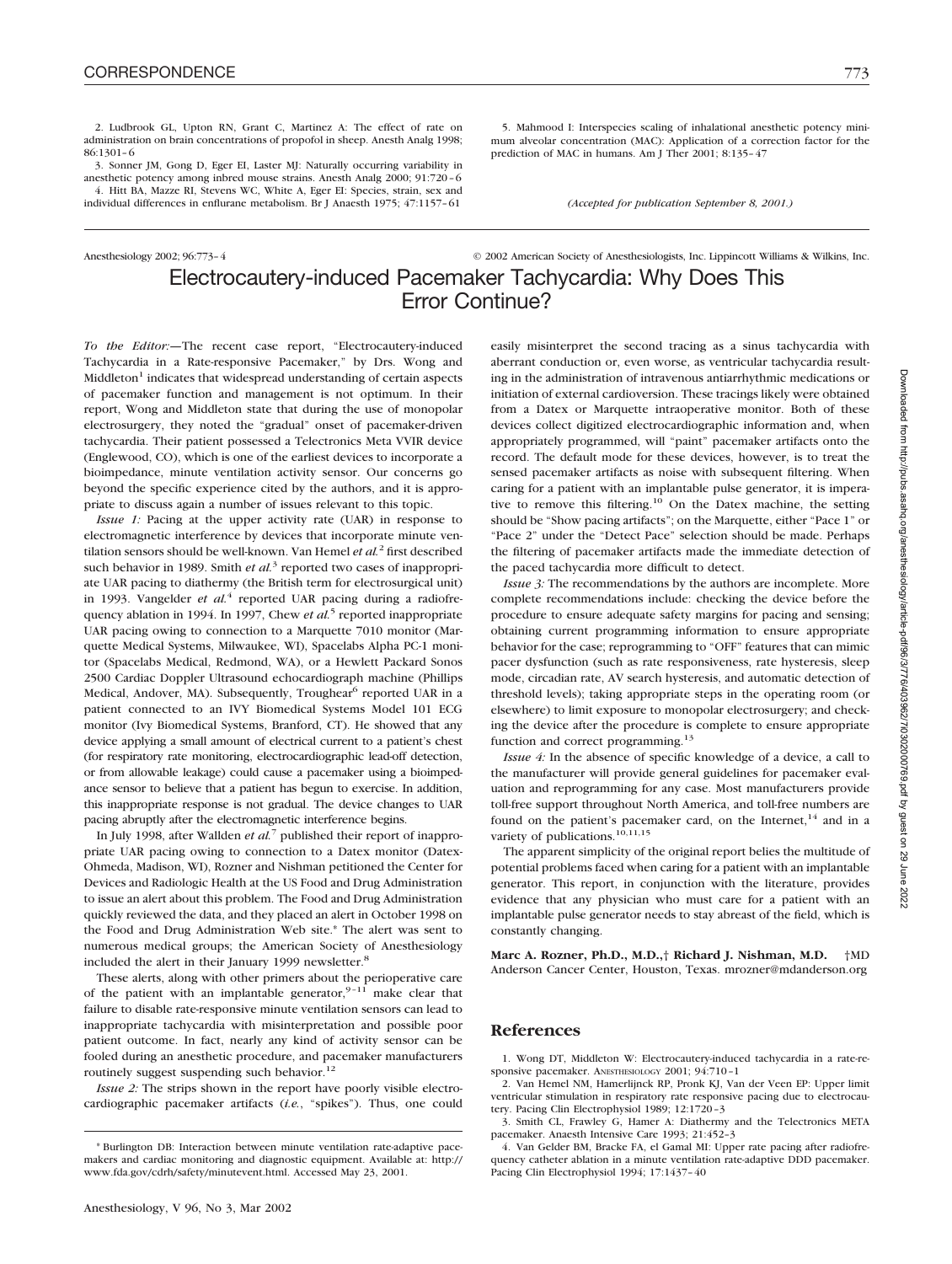2. Ludbrook GL, Upton RN, Grant C, Martinez A: The effect of rate on administration on brain concentrations of propofol in sheep. Anesth Analg 1998; 86:1301–6

3. Sonner JM, Gong D, Eger EI, Laster MJ: Naturally occurring variability in anesthetic potency among inbred mouse strains. Anesth Analg 2000; 91:720–6 4. Hitt BA, Mazze RI, Stevens WC, White A, Eger EI: Species, strain, sex and individual differences in enflurane metabolism. Br J Anaesth 1975; 47:1157–61

5. Mahmood I: Interspecies scaling of inhalational anesthetic potency minimum alveolar concentration (MAC): Application of a correction factor for the prediction of MAC in humans. Am J Ther 2001; 8:135–47

*(Accepted for publication September 8, 2001.)*

## Anesthesiology 2002; 96:773–4 © 2002 American Society of Anesthesiologists, Inc. Lippincott Williams & Wilkins, Inc. Electrocautery-induced Pacemaker Tachycardia: Why Does This Error Continue?

*To the Editor:—*The recent case report, "Electrocautery-induced Tachycardia in a Rate-responsive Pacemaker," by Drs. Wong and  $Midleton<sup>1</sup> indicates that widespread understanding of certain aspects$ of pacemaker function and management is not optimum. In their report, Wong and Middleton state that during the use of monopolar electrosurgery, they noted the "gradual" onset of pacemaker-driven tachycardia. Their patient possessed a Telectronics Meta VVIR device (Englewood, CO), which is one of the earliest devices to incorporate a bioimpedance, minute ventilation activity sensor. Our concerns go beyond the specific experience cited by the authors, and it is appropriate to discuss again a number of issues relevant to this topic.

*Issue 1:* Pacing at the upper activity rate (UAR) in response to electromagnetic interference by devices that incorporate minute ventilation sensors should be well-known. Van Hemel *et al.*<sup>2</sup> first described such behavior in 1989. Smith *et al.*<sup>3</sup> reported two cases of inappropriate UAR pacing to diathermy (the British term for electrosurgical unit) in 1993. Vangelder *et al.*<sup>4</sup> reported UAR pacing during a radiofrequency ablation in 1994. In 1997, Chew *et al.*<sup>5</sup> reported inappropriate UAR pacing owing to connection to a Marquette 7010 monitor (Marquette Medical Systems, Milwaukee, WI), Spacelabs Alpha PC-1 monitor (Spacelabs Medical, Redmond, WA), or a Hewlett Packard Sonos 2500 Cardiac Doppler Ultrasound echocardiograph machine (Phillips Medical, Andover, MA). Subsequently, Troughear<sup>6</sup> reported UAR in a patient connected to an IVY Biomedical Systems Model 101 ECG monitor (Ivy Biomedical Systems, Branford, CT). He showed that any device applying a small amount of electrical current to a patient's chest (for respiratory rate monitoring, electrocardiographic lead-off detection, or from allowable leakage) could cause a pacemaker using a bioimpedance sensor to believe that a patient has begun to exercise. In addition, this inappropriate response is not gradual. The device changes to UAR pacing abruptly after the electromagnetic interference begins.

In July 1998, after Wallden *et al.*<sup>7</sup> published their report of inappropriate UAR pacing owing to connection to a Datex monitor (Datex-Ohmeda, Madison, WI), Rozner and Nishman petitioned the Center for Devices and Radiologic Health at the US Food and Drug Administration to issue an alert about this problem. The Food and Drug Administration quickly reviewed the data, and they placed an alert in October 1998 on the Food and Drug Administration Web site.\* The alert was sent to numerous medical groups; the American Society of Anesthesiology included the alert in their January 1999 newsletter.<sup>8</sup>

These alerts, along with other primers about the perioperative care of the patient with an implantable generator,  $9-11$  make clear that failure to disable rate-responsive minute ventilation sensors can lead to inappropriate tachycardia with misinterpretation and possible poor patient outcome. In fact, nearly any kind of activity sensor can be fooled during an anesthetic procedure, and pacemaker manufacturers routinely suggest suspending such behavior.<sup>12</sup>

*Issue 2:* The strips shown in the report have poorly visible electrocardiographic pacemaker artifacts (*i.e.*, "spikes"). Thus, one could

easily misinterpret the second tracing as a sinus tachycardia with aberrant conduction or, even worse, as ventricular tachycardia resulting in the administration of intravenous antiarrhythmic medications or initiation of external cardioversion. These tracings likely were obtained from a Datex or Marquette intraoperative monitor. Both of these devices collect digitized electrocardiographic information and, when appropriately programmed, will "paint" pacemaker artifacts onto the record. The default mode for these devices, however, is to treat the sensed pacemaker artifacts as noise with subsequent filtering. When caring for a patient with an implantable pulse generator, it is imperative to remove this filtering.<sup>10</sup> On the Datex machine, the setting should be "Show pacing artifacts"; on the Marquette, either "Pace 1" or "Pace 2" under the "Detect Pace" selection should be made. Perhaps the filtering of pacemaker artifacts made the immediate detection of the paced tachycardia more difficult to detect.

*Issue 3:* The recommendations by the authors are incomplete. More complete recommendations include: checking the device before the procedure to ensure adequate safety margins for pacing and sensing; obtaining current programming information to ensure appropriate behavior for the case; reprogramming to "OFF" features that can mimic pacer dysfunction (such as rate responsiveness, rate hysteresis, sleep mode, circadian rate, AV search hysteresis, and automatic detection of threshold levels); taking appropriate steps in the operating room (or elsewhere) to limit exposure to monopolar electrosurgery; and checking the device after the procedure is complete to ensure appropriate function and correct programming.<sup>13</sup>

*Issue 4:* In the absence of specific knowledge of a device, a call to the manufacturer will provide general guidelines for pacemaker evaluation and reprogramming for any case. Most manufacturers provide toll-free support throughout North America, and toll-free numbers are found on the patient's pacemaker card, on the Internet,<sup>14</sup> and in a variety of publications.<sup>10,11,15</sup>

The apparent simplicity of the original report belies the multitude of potential problems faced when caring for a patient with an implantable generator. This report, in conjunction with the literature, provides evidence that any physician who must care for a patient with an implantable pulse generator needs to stay abreast of the field, which is constantly changing.

**Marc A. Rozner, Ph.D., M.D.,**† **Richard J. Nishman, M.D.** †MD Anderson Cancer Center, Houston, Texas. mrozner@mdanderson.org

### **References**

1. Wong DT, Middleton W: Electrocautery-induced tachycardia in a rate-responsive pacemaker. ANESTHESIOLOGY 2001: 94:710-1

2. Van Hemel NM, Hamerlijnck RP, Pronk KJ, Van der Veen EP: Upper limit ventricular stimulation in respiratory rate responsive pacing due to electrocautery. Pacing Clin Electrophysiol 1989; 12:1720–3

4. Van Gelder BM, Bracke FA, el Gamal MI: Upper rate pacing after radiofrequency catheter ablation in a minute ventilation rate-adaptive DDD pacemaker. Pacing Clin Electrophysiol 1994; 17:1437–40

<sup>\*</sup> Burlington DB: Interaction between minute ventilation rate-adaptive pacemakers and cardiac monitoring and diagnostic equipment. Available at: http:// www.fda.gov/cdrh/safety/minutevent.html. Accessed May 23, 2001.

<sup>3.</sup> Smith CL, Frawley G, Hamer A: Diathermy and the Telectronics META pacemaker. Anaesth Intensive Care 1993; 21:452–3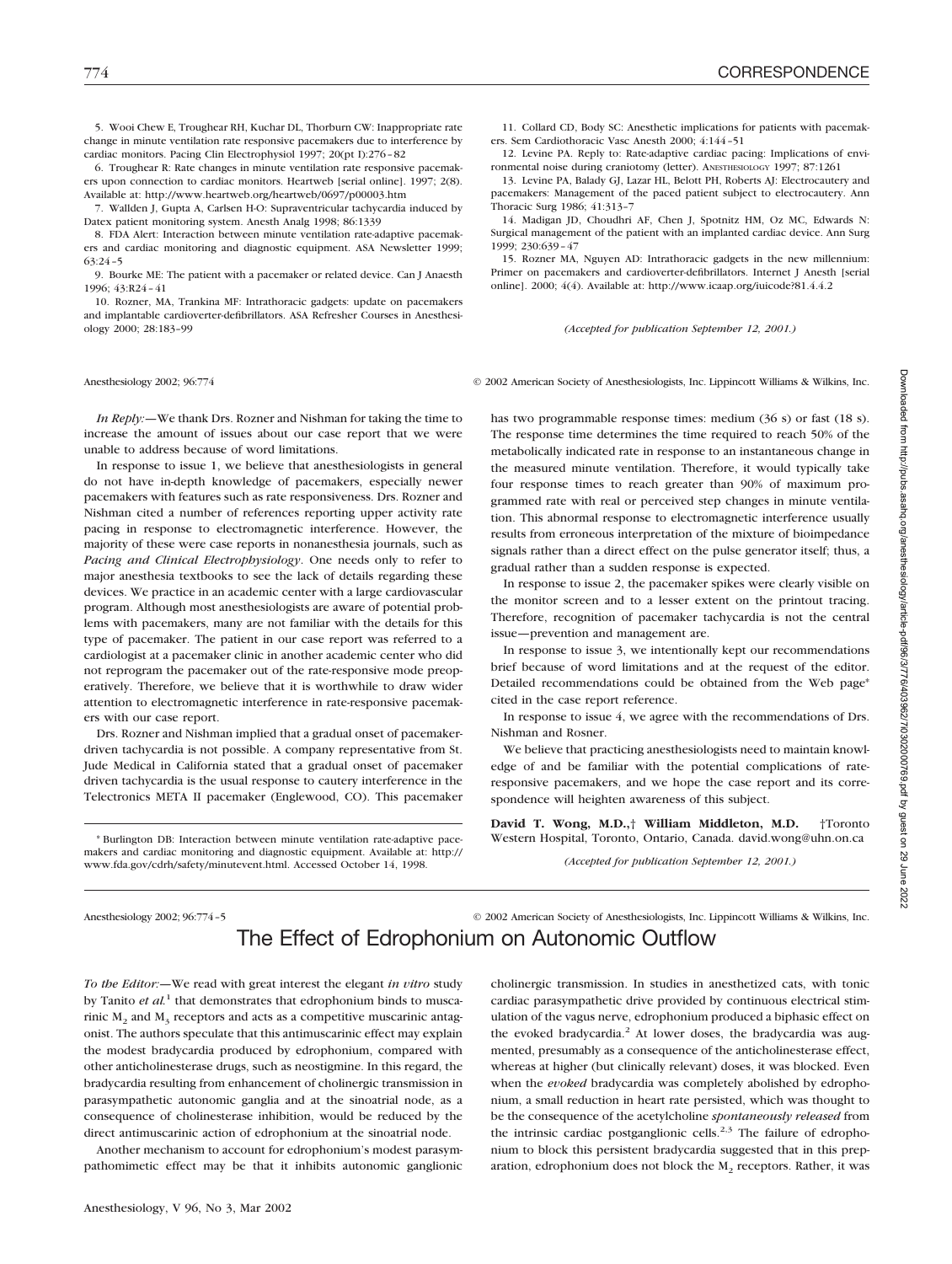5. Wooi Chew E, Troughear RH, Kuchar DL, Thorburn CW: Inappropriate rate change in minute ventilation rate responsive pacemakers due to interference by cardiac monitors. Pacing Clin Electrophysiol 1997; 20(pt I):276–82

6. Troughear R: Rate changes in minute ventilation rate responsive pacemakers upon connection to cardiac monitors. Heartweb [serial online]. 1997; 2(8). Available at: http://www.heartweb.org/heartweb/0697/p00003.htm

7. Wallden J, Gupta A, Carlsen H-O: Supraventricular tachycardia induced by Datex patient monitoring system. Anesth Analg 1998; 86:1339

8. FDA Alert: Interaction between minute ventilation rate-adaptive pacemakers and cardiac monitoring and diagnostic equipment. ASA Newsletter 1999; 63:24–5

9. Bourke ME: The patient with a pacemaker or related device. Can J Anaesth 1996; 43:R24–41

10. Rozner, MA, Trankina MF: Intrathoracic gadgets: update on pacemakers and implantable cardioverter-defibrillators. ASA Refresher Courses in Anesthesiology 2000; 28:183–99

*In Reply:—*We thank Drs. Rozner and Nishman for taking the time to increase the amount of issues about our case report that we were unable to address because of word limitations.

In response to issue 1, we believe that anesthesiologists in general do not have in-depth knowledge of pacemakers, especially newer pacemakers with features such as rate responsiveness. Drs. Rozner and Nishman cited a number of references reporting upper activity rate pacing in response to electromagnetic interference. However, the majority of these were case reports in nonanesthesia journals, such as *Pacing and Clinical Electrophysiology*. One needs only to refer to major anesthesia textbooks to see the lack of details regarding these devices. We practice in an academic center with a large cardiovascular program. Although most anesthesiologists are aware of potential problems with pacemakers, many are not familiar with the details for this type of pacemaker. The patient in our case report was referred to a cardiologist at a pacemaker clinic in another academic center who did not reprogram the pacemaker out of the rate-responsive mode preoperatively. Therefore, we believe that it is worthwhile to draw wider attention to electromagnetic interference in rate-responsive pacemakers with our case report.

Drs. Rozner and Nishman implied that a gradual onset of pacemakerdriven tachycardia is not possible. A company representative from St. Jude Medical in California stated that a gradual onset of pacemaker driven tachycardia is the usual response to cautery interference in the Telectronics META II pacemaker (Englewood, CO). This pacemaker

\* Burlington DB: Interaction between minute ventilation rate-adaptive pacemakers and cardiac monitoring and diagnostic equipment. Available at: http:// www.fda.gov/cdrh/safety/minutevent.html. Accessed October 14, 1998.

11. Collard CD, Body SC: Anesthetic implications for patients with pacemakers. Sem Cardiothoracic Vasc Anesth 2000; 4:144–51

12. Levine PA. Reply to: Rate-adaptive cardiac pacing: Implications of environmental noise during craniotomy (letter). ANESTHESIOLOGY 1997; 87:1261

13. Levine PA, Balady GJ, Lazar HL, Belott PH, Roberts AJ: Electrocautery and pacemakers: Management of the paced patient subject to electrocautery. Ann Thoracic Surg 1986; 41:313–7

14. Madigan JD, Choudhri AF, Chen J, Spotnitz HM, Oz MC, Edwards N: Surgical management of the patient with an implanted cardiac device. Ann Surg  $1999 \cdot 230 \cdot 639 - 47$ 

15. Rozner MA, Nguyen AD: Intrathoracic gadgets in the new millennium: Primer on pacemakers and cardioverter-defibrillators. Internet J Anesth [serial online]. 2000; 4(4). Available at: http://www.icaap.org/iuicode?81.4.4.2

*(Accepted for publication September 12, 2001.)*

Anesthesiology 2002; 96:774 © 2002 American Society of Anesthesiologists, Inc. Lippincott Williams & Wilkins, Inc.

has two programmable response times: medium (36 s) or fast (18 s). The response time determines the time required to reach 50% of the metabolically indicated rate in response to an instantaneous change in the measured minute ventilation. Therefore, it would typically take four response times to reach greater than 90% of maximum programmed rate with real or perceived step changes in minute ventilation. This abnormal response to electromagnetic interference usually results from erroneous interpretation of the mixture of bioimpedance signals rather than a direct effect on the pulse generator itself; thus, a gradual rather than a sudden response is expected.

In response to issue 2, the pacemaker spikes were clearly visible on the monitor screen and to a lesser extent on the printout tracing. Therefore, recognition of pacemaker tachycardia is not the central issue—prevention and management are.

In response to issue 3, we intentionally kept our recommendations brief because of word limitations and at the request of the editor. Detailed recommendations could be obtained from the Web page<sup>\*</sup> cited in the case report reference.

In response to issue 4, we agree with the recommendations of Drs. Nishman and Rosner.

We believe that practicing anesthesiologists need to maintain knowledge of and be familiar with the potential complications of rateresponsive pacemakers, and we hope the case report and its correspondence will heighten awareness of this subject.

**David T. Wong, M.D.,**† **William Middleton, M.D.** †Toronto Western Hospital, Toronto, Ontario, Canada. david.wong@uhn.on.ca

*(Accepted for publication September 12, 2001.)*

Anesthesiology 2002; 96:774–5 © 2002 American Society of Anesthesiologists, Inc. Lippincott Williams & Wilkins, Inc. The Effect of Edrophonium on Autonomic Outflow

*To the Editor:—*We read with great interest the elegant *in vitro* study by Tanito *et al.*<sup>1</sup> that demonstrates that edrophonium binds to muscarinic  $M<sub>2</sub>$  and  $M<sub>3</sub>$  receptors and acts as a competitive muscarinic antagonist. The authors speculate that this antimuscarinic effect may explain the modest bradycardia produced by edrophonium, compared with other anticholinesterase drugs, such as neostigmine. In this regard, the bradycardia resulting from enhancement of cholinergic transmission in parasympathetic autonomic ganglia and at the sinoatrial node, as a consequence of cholinesterase inhibition, would be reduced by the direct antimuscarinic action of edrophonium at the sinoatrial node.

Another mechanism to account for edrophonium's modest parasympathomimetic effect may be that it inhibits autonomic ganglionic

Anesthesiology, V 96, No 3, Mar 2002

cholinergic transmission. In studies in anesthetized cats, with tonic cardiac parasympathetic drive provided by continuous electrical stimulation of the vagus nerve, edrophonium produced a biphasic effect on the evoked bradycardia.<sup>2</sup> At lower doses, the bradycardia was augmented, presumably as a consequence of the anticholinesterase effect, whereas at higher (but clinically relevant) doses, it was blocked. Even when the *evoked* bradycardia was completely abolished by edrophonium, a small reduction in heart rate persisted, which was thought to be the consequence of the acetylcholine *spontaneously released* from the intrinsic cardiac postganglionic cells.<sup>2,3</sup> The failure of edrophonium to block this persistent bradycardia suggested that in this preparation, edrophonium does not block the  $M<sub>2</sub>$  receptors. Rather, it was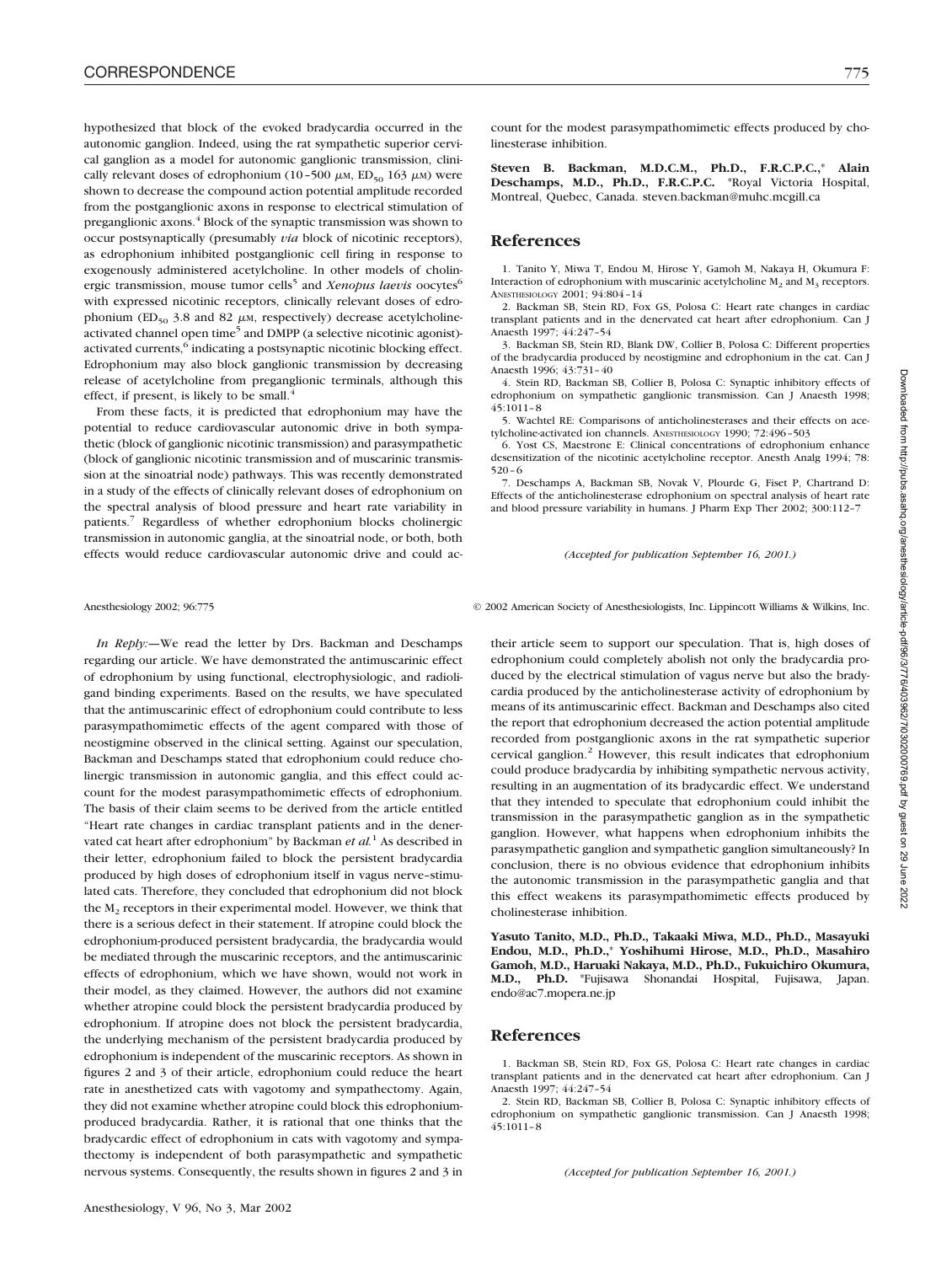hypothesized that block of the evoked bradycardia occurred in the autonomic ganglion. Indeed, using the rat sympathetic superior cervical ganglion as a model for autonomic ganglionic transmission, clinically relevant doses of edrophonium (10–500  $\mu$ M, ED<sub>50</sub> 163  $\mu$ M) were shown to decrease the compound action potential amplitude recorded from the postganglionic axons in response to electrical stimulation of preganglionic axons.<sup>4</sup> Block of the synaptic transmission was shown to occur postsynaptically (presumably *via* block of nicotinic receptors), as edrophonium inhibited postganglionic cell firing in response to exogenously administered acetylcholine. In other models of cholinergic transmission, mouse tumor cells<sup>5</sup> and *Xenopus laevis* oocytes<sup>6</sup> with expressed nicotinic receptors, clinically relevant doses of edrophonium (ED<sub>50</sub> 3.8 and 82  $\mu$ M, respectively) decrease acetylcholineactivated channel open time<sup>5</sup> and DMPP (a selective nicotinic agonist)activated currents,<sup>6</sup> indicating a postsynaptic nicotinic blocking effect. Edrophonium may also block ganglionic transmission by decreasing release of acetylcholine from preganglionic terminals, although this effect, if present, is likely to be small. $4$ 

From these facts, it is predicted that edrophonium may have the potential to reduce cardiovascular autonomic drive in both sympathetic (block of ganglionic nicotinic transmission) and parasympathetic (block of ganglionic nicotinic transmission and of muscarinic transmission at the sinoatrial node) pathways. This was recently demonstrated in a study of the effects of clinically relevant doses of edrophonium on the spectral analysis of blood pressure and heart rate variability in patients.7 Regardless of whether edrophonium blocks cholinergic transmission in autonomic ganglia, at the sinoatrial node, or both, both effects would reduce cardiovascular autonomic drive and could ac-

*In Reply:—*We read the letter by Drs. Backman and Deschamps regarding our article. We have demonstrated the antimuscarinic effect of edrophonium by using functional, electrophysiologic, and radioligand binding experiments. Based on the results, we have speculated that the antimuscarinic effect of edrophonium could contribute to less parasympathomimetic effects of the agent compared with those of neostigmine observed in the clinical setting. Against our speculation, Backman and Deschamps stated that edrophonium could reduce cholinergic transmission in autonomic ganglia, and this effect could account for the modest parasympathomimetic effects of edrophonium. The basis of their claim seems to be derived from the article entitled "Heart rate changes in cardiac transplant patients and in the denervated cat heart after edrophonium" by Backman *et al.*<sup>1</sup> As described in their letter, edrophonium failed to block the persistent bradycardia produced by high doses of edrophonium itself in vagus nerve–stimulated cats. Therefore, they concluded that edrophonium did not block the  $M<sub>2</sub>$  receptors in their experimental model. However, we think that there is a serious defect in their statement. If atropine could block the edrophonium-produced persistent bradycardia, the bradycardia would be mediated through the muscarinic receptors, and the antimuscarinic effects of edrophonium, which we have shown, would not work in their model, as they claimed. However, the authors did not examine whether atropine could block the persistent bradycardia produced by edrophonium. If atropine does not block the persistent bradycardia, the underlying mechanism of the persistent bradycardia produced by edrophonium is independent of the muscarinic receptors. As shown in figures 2 and 3 of their article, edrophonium could reduce the heart rate in anesthetized cats with vagotomy and sympathectomy. Again, they did not examine whether atropine could block this edrophoniumproduced bradycardia. Rather, it is rational that one thinks that the bradycardic effect of edrophonium in cats with vagotomy and sympathectomy is independent of both parasympathetic and sympathetic nervous systems. Consequently, the results shown in figures 2 and 3 in

count for the modest parasympathomimetic effects produced by cholinesterase inhibition.

**Steven B. Backman, M.D.C.M., Ph.D., F.R.C.P.C.,**\* **Alain Deschamps, M.D., Ph.D., F.R.C.P.C.** \*Royal Victoria Hospital, Montreal, Quebec, Canada. steven.backman@muhc.mcgill.ca

### **References**

1. Tanito Y, Miwa T, Endou M, Hirose Y, Gamoh M, Nakaya H, Okumura F: Interaction of edrophonium with muscarinic acetylcholine  $M_2$  and  $M_3$  receptors. ANESTHESIOLOGY 2001; 94:804–14

2. Backman SB, Stein RD, Fox GS, Polosa C: Heart rate changes in cardiac transplant patients and in the denervated cat heart after edrophonium. Can J Anaesth 1997; 44:247–54

3. Backman SB, Stein RD, Blank DW, Collier B, Polosa C: Different properties of the bradycardia produced by neostigmine and edrophonium in the cat. Can J Anaesth 1996; 43:731–40

4. Stein RD, Backman SB, Collier B, Polosa C: Synaptic inhibitory effects of edrophonium on sympathetic ganglionic transmission. Can J Anaesth 1998; 45:1011–8

5. Wachtel RE: Comparisons of anticholinesterases and their effects on acetylcholine-activated ion channels. ANESTHESIOLOGY 1990; 72:496–503

6. Yost CS, Maestrone E: Clinical concentrations of edrophonium enhance desensitization of the nicotinic acetylcholine receptor. Anesth Analg 1994; 78: 520–6

7. Deschamps A, Backman SB, Novak V, Plourde G, Fiset P, Chartrand D: Effects of the anticholinesterase edrophonium on spectral analysis of heart rate and blood pressure variability in humans. J Pharm Exp Ther 2002; 300:112–7

*(Accepted for publication September 16, 2001.)*

Anesthesiology 2002; 96:775 © 2002 American Society of Anesthesiologists, Inc. Lippincott Williams & Wilkins, Inc.

their article seem to support our speculation. That is, high doses of edrophonium could completely abolish not only the bradycardia produced by the electrical stimulation of vagus nerve but also the bradycardia produced by the anticholinesterase activity of edrophonium by means of its antimuscarinic effect. Backman and Deschamps also cited the report that edrophonium decreased the action potential amplitude recorded from postganglionic axons in the rat sympathetic superior cervical ganglion.<sup>2</sup> However, this result indicates that edrophonium could produce bradycardia by inhibiting sympathetic nervous activity, resulting in an augmentation of its bradycardic effect. We understand that they intended to speculate that edrophonium could inhibit the transmission in the parasympathetic ganglion as in the sympathetic ganglion. However, what happens when edrophonium inhibits the parasympathetic ganglion and sympathetic ganglion simultaneously? In conclusion, there is no obvious evidence that edrophonium inhibits the autonomic transmission in the parasympathetic ganglia and that this effect weakens its parasympathomimetic effects produced by cholinesterase inhibition.

**Yasuto Tanito, M.D., Ph.D., Takaaki Miwa, M.D., Ph.D., Masayuki Endou, M.D., Ph.D.,**\* **Yoshihumi Hirose, M.D., Ph.D., Masahiro Gamoh, M.D., Haruaki Nakaya, M.D., Ph.D., Fukuichiro Okumura, M.D., Ph.D.** \*Fujisawa Shonandai Hospital, Fujisawa, Japan. endo@ac7.mopera.ne.jp

### **References**

1. Backman SB, Stein RD, Fox GS, Polosa C: Heart rate changes in cardiac transplant patients and in the denervated cat heart after edrophonium. Can J Anaesth 1997; 44:247–54

2. Stein RD, Backman SB, Collier B, Polosa C: Synaptic inhibitory effects of edrophonium on sympathetic ganglionic transmission. Can J Anaesth 1998;  $45:1011 - 8$ 

*(Accepted for publication September 16, 2001.)*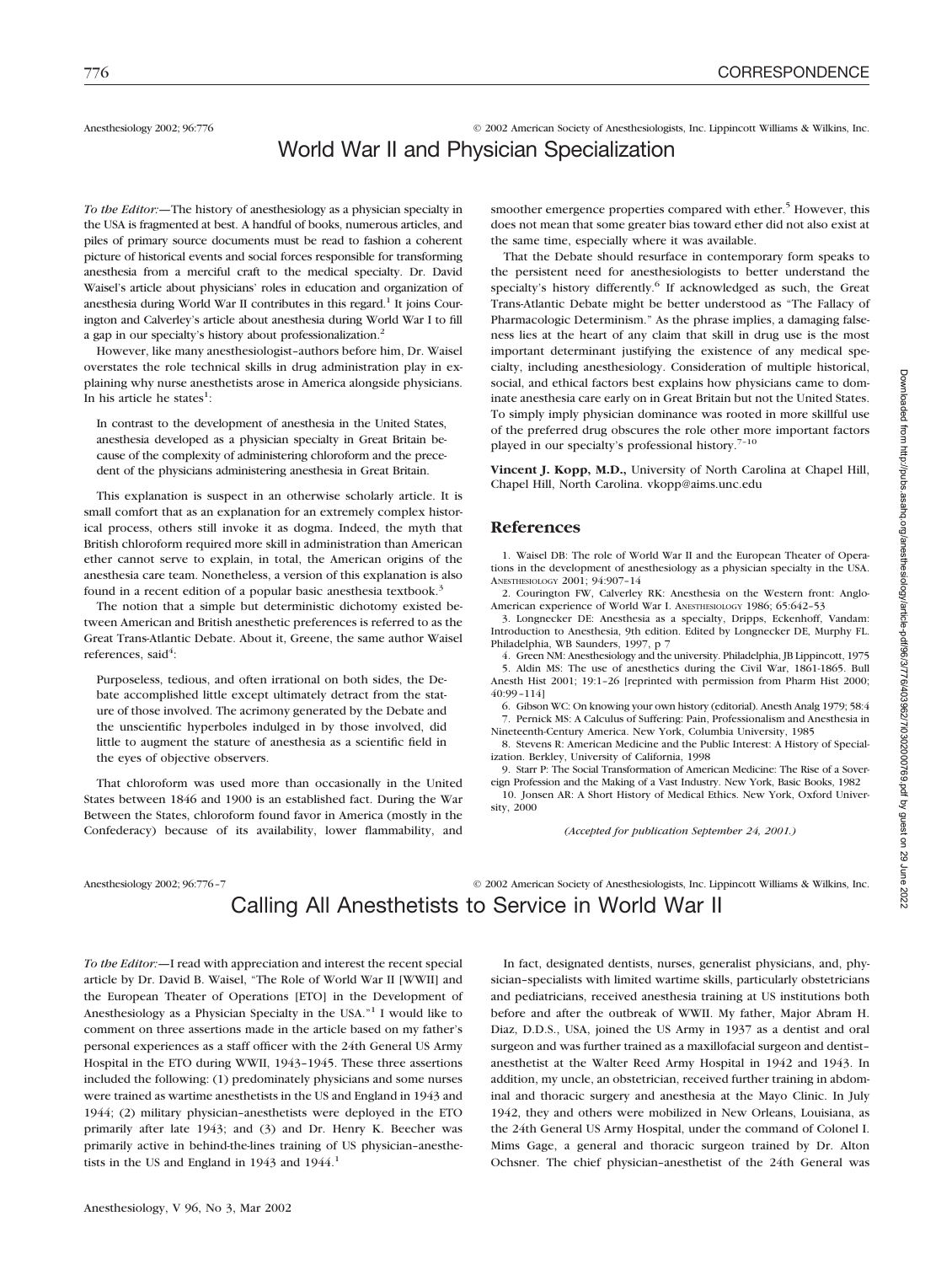Anesthesiology 2002; 96:776 © 2002 American Society of Anesthesiologists, Inc. Lippincott Williams & Wilkins, Inc.

# World War II and Physician Specialization

*To the Editor:—*The history of anesthesiology as a physician specialty in the USA is fragmented at best. A handful of books, numerous articles, and piles of primary source documents must be read to fashion a coherent picture of historical events and social forces responsible for transforming anesthesia from a merciful craft to the medical specialty. Dr. David Waisel's article about physicians' roles in education and organization of anesthesia during World War II contributes in this regard.<sup>1</sup> It joins Courington and Calverley's article about anesthesia during World War I to fill a gap in our specialty's history about professionalization.2

However, like many anesthesiologist–authors before him, Dr. Waisel overstates the role technical skills in drug administration play in explaining why nurse anesthetists arose in America alongside physicians. In his article he states<sup>1</sup>:

In contrast to the development of anesthesia in the United States, anesthesia developed as a physician specialty in Great Britain because of the complexity of administering chloroform and the precedent of the physicians administering anesthesia in Great Britain.

This explanation is suspect in an otherwise scholarly article. It is small comfort that as an explanation for an extremely complex historical process, others still invoke it as dogma. Indeed, the myth that British chloroform required more skill in administration than American ether cannot serve to explain, in total, the American origins of the anesthesia care team. Nonetheless, a version of this explanation is also found in a recent edition of a popular basic anesthesia textbook.<sup>3</sup>

The notion that a simple but deterministic dichotomy existed between American and British anesthetic preferences is referred to as the Great Trans-Atlantic Debate. About it, Greene, the same author Waisel references, said<sup>4</sup>:

Purposeless, tedious, and often irrational on both sides, the Debate accomplished little except ultimately detract from the stature of those involved. The acrimony generated by the Debate and the unscientific hyperboles indulged in by those involved, did little to augment the stature of anesthesia as a scientific field in the eyes of objective observers.

That chloroform was used more than occasionally in the United States between 1846 and 1900 is an established fact. During the War Between the States, chloroform found favor in America (mostly in the Confederacy) because of its availability, lower flammability, and

Anesthesiology 2002; 96:776-7 © 2002 American Society of Anesthesiologists, Inc. Lippincott Williams & Wilkins, Inc.

smoother emergence properties compared with ether.<sup>5</sup> However, this does not mean that some greater bias toward ether did not also exist at the same time, especially where it was available.

That the Debate should resurface in contemporary form speaks to the persistent need for anesthesiologists to better understand the specialty's history differently.<sup>6</sup> If acknowledged as such, the Great Trans-Atlantic Debate might be better understood as "The Fallacy of Pharmacologic Determinism." As the phrase implies, a damaging falseness lies at the heart of any claim that skill in drug use is the most important determinant justifying the existence of any medical specialty, including anesthesiology. Consideration of multiple historical, social, and ethical factors best explains how physicians came to dominate anesthesia care early on in Great Britain but not the United States. To simply imply physician dominance was rooted in more skillful use of the preferred drug obscures the role other more important factors played in our specialty's professional history.<sup>7-10</sup>

**Vincent J. Kopp, M.D.,** University of North Carolina at Chapel Hill, Chapel Hill, North Carolina. vkopp@aims.unc.edu

### **References**

1. Waisel DB: The role of World War II and the European Theater of Operations in the development of anesthesiology as a physician specialty in the USA. ANESTHESIOLOGY 2001; 94:907–14

2. Courington FW, Calverley RK: Anesthesia on the Western front: Anglo-American experience of World War I. ANESTHESIOLOGY 1986; 65:642–53

3. Longnecker DE: Anesthesia as a specialty, Dripps, Eckenhoff, Vandam: Introduction to Anesthesia, 9th edition. Edited by Longnecker DE, Murphy FL. Philadelphia, WB Saunders, 1997, p 7

4. Green NM: Anesthesiology and the university. Philadelphia, JB Lippincott, 1975 5. Aldin MS: The use of anesthetics during the Civil War, 1861-1865. Bull Anesth Hist 2001; 19:1–26 [reprinted with permission from Pharm Hist 2000; 40:99–114]

6. Gibson WC: On knowing your own history (editorial). Anesth Analg 1979; 58:4 7. Pernick MS: A Calculus of Suffering: Pain, Professionalism and Anesthesia in

Nineteenth-Century America. New York, Columbia University, 1985 8. Stevens R: American Medicine and the Public Interest: A History of Specialization. Berkley, University of California, 1998

9. Starr P: The Social Transformation of American Medicine: The Rise of a Sovereign Profession and the Making of a Vast Industry. New York, Basic Books, 1982

10. Jonsen AR: A Short History of Medical Ethics. New York, Oxford University, 2000

*(Accepted for publication September 24, 2001.)*

Calling All Anesthetists to Service in World War II

*To the Editor:—*I read with appreciation and interest the recent special article by Dr. David B. Waisel, "The Role of World War II [WWII] and the European Theater of Operations [ETO] in the Development of Anesthesiology as a Physician Specialty in the USA."1 I would like to comment on three assertions made in the article based on my father's personal experiences as a staff officer with the 24th General US Army Hospital in the ETO during WWII, 1943–1945. These three assertions included the following: (1) predominately physicians and some nurses were trained as wartime anesthetists in the US and England in 1943 and 1944; (2) military physician–anesthetists were deployed in the ETO primarily after late 1943; and (3) and Dr. Henry K. Beecher was primarily active in behind-the-lines training of US physician–anesthetists in the US and England in  $1943$  and  $1944$ .<sup>1</sup>

Anesthesiology, V 96, No 3, Mar 2002

In fact, designated dentists, nurses, generalist physicians, and, physician–specialists with limited wartime skills, particularly obstetricians and pediatricians, received anesthesia training at US institutions both before and after the outbreak of WWII. My father, Major Abram H. Diaz, D.D.S., USA, joined the US Army in 1937 as a dentist and oral surgeon and was further trained as a maxillofacial surgeon and dentist– anesthetist at the Walter Reed Army Hospital in 1942 and 1943. In addition, my uncle, an obstetrician, received further training in abdominal and thoracic surgery and anesthesia at the Mayo Clinic. In July 1942, they and others were mobilized in New Orleans, Louisiana, as the 24th General US Army Hospital, under the command of Colonel I. Mims Gage, a general and thoracic surgeon trained by Dr. Alton Ochsner. The chief physician–anesthetist of the 24th General was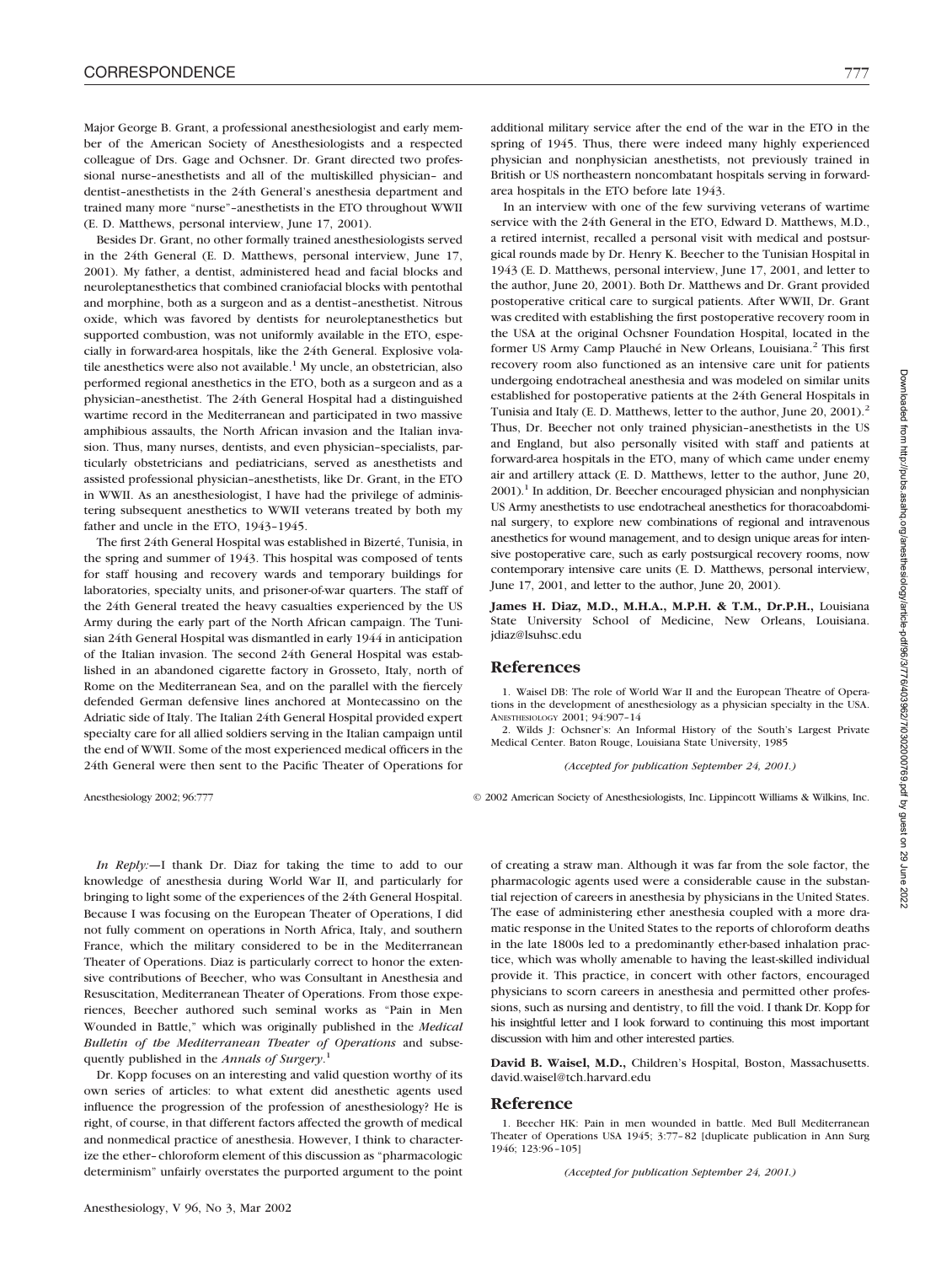Major George B. Grant, a professional anesthesiologist and early member of the American Society of Anesthesiologists and a respected colleague of Drs. Gage and Ochsner. Dr. Grant directed two professional nurse–anesthetists and all of the multiskilled physician– and dentist–anesthetists in the 24th General's anesthesia department and trained many more "nurse"–anesthetists in the ETO throughout WWII (E. D. Matthews, personal interview, June 17, 2001).

Besides Dr. Grant, no other formally trained anesthesiologists served in the 24th General (E. D. Matthews, personal interview, June 17, 2001). My father, a dentist, administered head and facial blocks and neuroleptanesthetics that combined craniofacial blocks with pentothal and morphine, both as a surgeon and as a dentist–anesthetist. Nitrous oxide, which was favored by dentists for neuroleptanesthetics but supported combustion, was not uniformly available in the ETO, especially in forward-area hospitals, like the 24th General. Explosive volatile anesthetics were also not available.<sup>1</sup> My uncle, an obstetrician, also performed regional anesthetics in the ETO, both as a surgeon and as a physician–anesthetist. The 24th General Hospital had a distinguished wartime record in the Mediterranean and participated in two massive amphibious assaults, the North African invasion and the Italian invasion. Thus, many nurses, dentists, and even physician–specialists, particularly obstetricians and pediatricians, served as anesthetists and assisted professional physician–anesthetists, like Dr. Grant, in the ETO in WWII. As an anesthesiologist, I have had the privilege of administering subsequent anesthetics to WWII veterans treated by both my father and uncle in the ETO, 1943–1945.

The first 24th General Hospital was established in Bizerté, Tunisia, in the spring and summer of 1943. This hospital was composed of tents for staff housing and recovery wards and temporary buildings for laboratories, specialty units, and prisoner-of-war quarters. The staff of the 24th General treated the heavy casualties experienced by the US Army during the early part of the North African campaign. The Tunisian 24th General Hospital was dismantled in early 1944 in anticipation of the Italian invasion. The second 24th General Hospital was established in an abandoned cigarette factory in Grosseto, Italy, north of Rome on the Mediterranean Sea, and on the parallel with the fiercely defended German defensive lines anchored at Montecassino on the Adriatic side of Italy. The Italian 24th General Hospital provided expert specialty care for all allied soldiers serving in the Italian campaign until the end of WWII. Some of the most experienced medical officers in the 24th General were then sent to the Pacific Theater of Operations for

*In Reply:—*I thank Dr. Diaz for taking the time to add to our knowledge of anesthesia during World War II, and particularly for bringing to light some of the experiences of the 24th General Hospital. Because I was focusing on the European Theater of Operations, I did not fully comment on operations in North Africa, Italy, and southern France, which the military considered to be in the Mediterranean Theater of Operations. Diaz is particularly correct to honor the extensive contributions of Beecher, who was Consultant in Anesthesia and Resuscitation, Mediterranean Theater of Operations. From those experiences, Beecher authored such seminal works as "Pain in Men Wounded in Battle," which was originally published in the *Medical Bulletin of the Mediterranean Theater of Operations* and subsequently published in the *Annals of Surgery*. 1

Dr. Kopp focuses on an interesting and valid question worthy of its own series of articles: to what extent did anesthetic agents used influence the progression of the profession of anesthesiology? He is right, of course, in that different factors affected the growth of medical and nonmedical practice of anesthesia. However, I think to characterize the ether–chloroform element of this discussion as "pharmacologic determinism" unfairly overstates the purported argument to the point

additional military service after the end of the war in the ETO in the spring of 1945. Thus, there were indeed many highly experienced physician and nonphysician anesthetists, not previously trained in British or US northeastern noncombatant hospitals serving in forwardarea hospitals in the ETO before late 1943.

In an interview with one of the few surviving veterans of wartime service with the 24th General in the ETO, Edward D. Matthews, M.D., a retired internist, recalled a personal visit with medical and postsurgical rounds made by Dr. Henry K. Beecher to the Tunisian Hospital in 1943 (E. D. Matthews, personal interview, June 17, 2001, and letter to the author, June 20, 2001). Both Dr. Matthews and Dr. Grant provided postoperative critical care to surgical patients. After WWII, Dr. Grant was credited with establishing the first postoperative recovery room in the USA at the original Ochsner Foundation Hospital, located in the former US Army Camp Plauché in New Orleans, Louisiana.<sup>2</sup> This first recovery room also functioned as an intensive care unit for patients undergoing endotracheal anesthesia and was modeled on similar units established for postoperative patients at the 24th General Hospitals in Tunisia and Italy (E. D. Matthews, letter to the author, June 20, 2001).<sup>2</sup> Thus, Dr. Beecher not only trained physician–anesthetists in the US and England, but also personally visited with staff and patients at forward-area hospitals in the ETO, many of which came under enemy air and artillery attack (E. D. Matthews, letter to the author, June 20,  $2001$ ).<sup>1</sup> In addition, Dr. Beecher encouraged physician and nonphysician US Army anesthetists to use endotracheal anesthetics for thoracoabdominal surgery, to explore new combinations of regional and intravenous anesthetics for wound management, and to design unique areas for intensive postoperative care, such as early postsurgical recovery rooms, now contemporary intensive care units (E. D. Matthews, personal interview, June 17, 2001, and letter to the author, June 20, 2001).

**James H. Diaz, M.D., M.H.A., M.P.H. & T.M., Dr.P.H.,** Louisiana State University School of Medicine, New Orleans, Louisiana. jdiaz@lsuhsc.edu

### **References**

1. Waisel DB: The role of World War II and the European Theatre of Operations in the development of anesthesiology as a physician specialty in the USA. ANESTHESIOLOGY 2001; 94:907–14

2. Wilds J: Ochsner's: An Informal History of the South's Largest Private Medical Center. Baton Rouge, Louisiana State University, 1985

*(Accepted for publication September 24, 2001.)*

Anesthesiology 2002; 96:777 © 2002 American Society of Anesthesiologists, Inc. Lippincott Williams & Wilkins, Inc.

of creating a straw man. Although it was far from the sole factor, the pharmacologic agents used were a considerable cause in the substantial rejection of careers in anesthesia by physicians in the United States. The ease of administering ether anesthesia coupled with a more dramatic response in the United States to the reports of chloroform deaths in the late 1800s led to a predominantly ether-based inhalation practice, which was wholly amenable to having the least-skilled individual provide it. This practice, in concert with other factors, encouraged physicians to scorn careers in anesthesia and permitted other professions, such as nursing and dentistry, to fill the void. I thank Dr. Kopp for his insightful letter and I look forward to continuing this most important discussion with him and other interested parties.

**David B. Waisel, M.D.,** Children's Hospital, Boston, Massachusetts. david.waisel@tch.harvard.edu

### **Reference**

1. Beecher HK: Pain in men wounded in battle. Med Bull Mediterranean Theater of Operations USA 1945; 3:77–82 [duplicate publication in Ann Surg 1946; 123:96–105]

*(Accepted for publication September 24, 2001.)*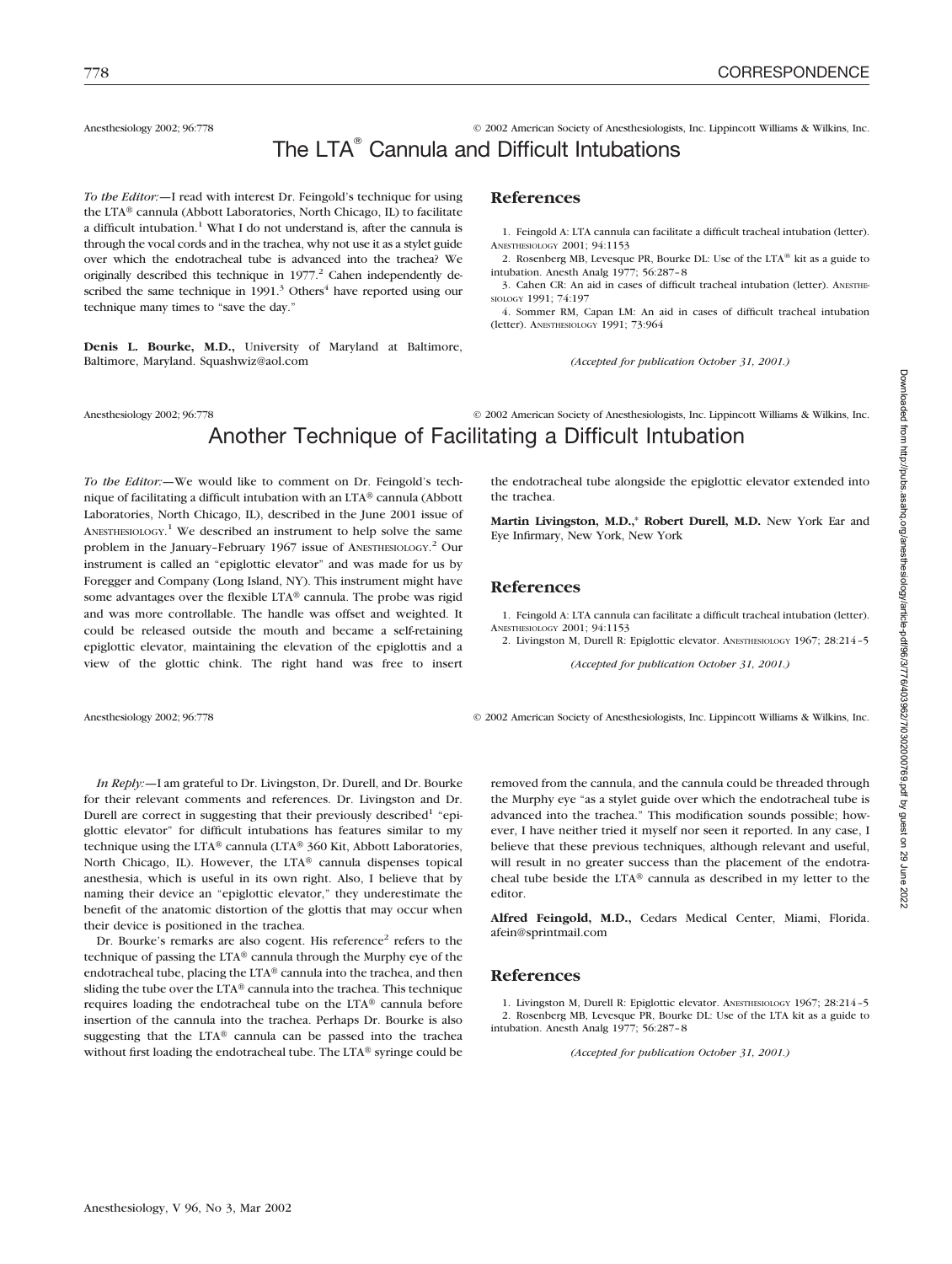# Anesthesiology 2002; 96:778 © 2002 American Society of Anesthesiologists, Inc. Lippincott Williams & Wilkins, Inc. The LTA<sup>®</sup> Cannula and Difficult Intubations

*To the Editor:—*I read with interest Dr. Feingold's technique for using the LTA® cannula (Abbott Laboratories, North Chicago, IL) to facilitate a difficult intubation.<sup>1</sup> What I do not understand is, after the cannula is through the vocal cords and in the trachea, why not use it as a stylet guide over which the endotracheal tube is advanced into the trachea? We originally described this technique in 1977.<sup>2</sup> Cahen independently described the same technique in  $1991<sup>3</sup>$  Others<sup>4</sup> have reported using our technique many times to "save the day."

**Denis L. Bourke, M.D.,** University of Maryland at Baltimore, Baltimore, Maryland. Squashwiz@aol.com

### **References**

1. Feingold A: LTA cannula can facilitate a difficult tracheal intubation (letter). ANESTHESIOLOGY 2001; 94:1153

2. Rosenberg MB, Levesque PR, Bourke DL: Use of the LTA® kit as a guide to intubation. Anesth Analg 1977; 56:287–8

3. Cahen CR: An aid in cases of difficult tracheal intubation (letter). ANESTHE-SIOLOGY 1991; 74:197

4. Sommer RM, Capan LM: An aid in cases of difficult tracheal intubation (letter). ANESTHESIOLOGY 1991; 73:964

*(Accepted for publication October 31, 2001.)*

## Anesthesiology 2002; 96:778 © 2002 American Society of Anesthesiologists, Inc. Lippincott Williams & Wilkins, Inc. Another Technique of Facilitating a Difficult Intubation

*To the Editor:—*We would like to comment on Dr. Feingold's technique of facilitating a difficult intubation with an LTA® cannula (Abbott Laboratories, North Chicago, IL), described in the June 2001 issue of ANESTHESIOLOGY.<sup>1</sup> We described an instrument to help solve the same problem in the January-February 1967 issue of ANESTHESIOLOGY.<sup>2</sup> Our instrument is called an "epiglottic elevator" and was made for us by Foregger and Company (Long Island, NY). This instrument might have some advantages over the flexible  $LTA^®$  cannula. The probe was rigid and was more controllable. The handle was offset and weighted. It could be released outside the mouth and became a self-retaining epiglottic elevator, maintaining the elevation of the epiglottis and a view of the glottic chink. The right hand was free to insert

*In Reply:—*I am grateful to Dr. Livingston, Dr. Durell, and Dr. Bourke for their relevant comments and references. Dr. Livingston and Dr. Durell are correct in suggesting that their previously described<sup>1</sup> "epiglottic elevator" for difficult intubations has features similar to my technique using the LTA<sup>®</sup> cannula (LTA<sup>®</sup> 360 Kit, Abbott Laboratories, North Chicago, IL). However, the LTA® cannula dispenses topical anesthesia, which is useful in its own right. Also, I believe that by naming their device an "epiglottic elevator," they underestimate the benefit of the anatomic distortion of the glottis that may occur when their device is positioned in the trachea.

Dr. Bourke's remarks are also cogent. His reference<sup>2</sup> refers to the technique of passing the LTA $\textcircled{}$  cannula through the Murphy eye of the endotracheal tube, placing the LTA® cannula into the trachea, and then sliding the tube over the LTA® cannula into the trachea. This technique requires loading the endotracheal tube on the LTA® cannula before insertion of the cannula into the trachea. Perhaps Dr. Bourke is also suggesting that the LTA® cannula can be passed into the trachea without first loading the endotracheal tube. The LTA® syringe could be

the endotracheal tube alongside the epiglottic elevator extended into the trachea.

**Martin Livingston, M.D.,**\* **Robert Durell, M.D.** New York Ear and Eye Infirmary, New York, New York

### **References**

1. Feingold A: LTA cannula can facilitate a difficult tracheal intubation (letter). ANESTHESIOLOGY 2001; 94:1153

2. Livingston M, Durell R: Epiglottic elevator. ANESTHESIOLOGY 1967; 28:214–5

*(Accepted for publication October 31, 2001.)*

Anesthesiology 2002; 96:778  $\odot$  2002 American Society of Anesthesiologists, Inc. Lippincott Williams & Wilkins, Inc.

removed from the cannula, and the cannula could be threaded through the Murphy eye "as a stylet guide over which the endotracheal tube is advanced into the trachea." This modification sounds possible; however, I have neither tried it myself nor seen it reported. In any case, I believe that these previous techniques, although relevant and useful, will result in no greater success than the placement of the endotracheal tube beside the LTA® cannula as described in my letter to the

**Alfred Feingold, M.D.,** Cedars Medical Center, Miami, Florida. afein@sprintmail.com

### **References**

editor.

1. Livingston M, Durell R: Epiglottic elevator. ANESTHESIOLOGY 1967; 28:214–5 2. Rosenberg MB, Levesque PR, Bourke DL: Use of the LTA kit as a guide to intubation. Anesth Analg 1977; 56:287–8

*(Accepted for publication October 31, 2001.)*